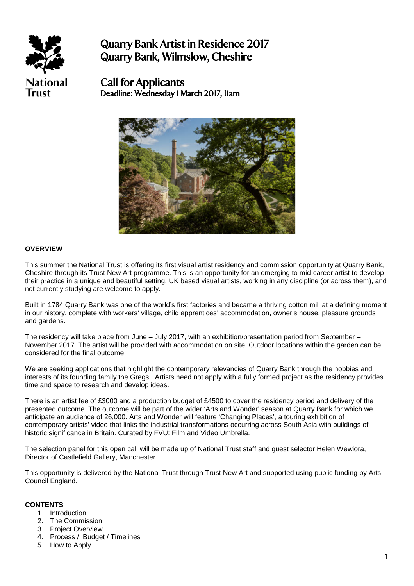

Quarry Bank Artist in Residence 2017 Quarry Bank, Wilmslow, Cheshire

Call for Applicants Deadline: Wednesday 1 March 2017, 11am



### **OVERVIEW**

This summer the National Trust is offering its first visual artist residency and commission opportunity at Quarry Bank, Cheshire through its Trust New Art programme. This is an opportunity for an emerging to mid-career artist to develop their practice in a unique and beautiful setting. UK based visual artists, working in any discipline (or across them), and not currently studying are welcome to apply.

Built in 1784 Quarry Bank was one of the world's first factories and became a thriving cotton mill at a defining moment in our history, complete with workers' village, child apprentices' accommodation, owner's house, pleasure grounds and gardens.

The residency will take place from June – July 2017, with an exhibition/presentation period from September – November 2017. The artist will be provided with accommodation on site. Outdoor locations within the garden can be considered for the final outcome.

We are seeking applications that highlight the contemporary relevancies of Quarry Bank through the hobbies and interests of its founding family the Gregs. Artists need not apply with a fully formed project as the residency provides time and space to research and develop ideas.

There is an artist fee of £3000 and a production budget of £4500 to cover the residency period and delivery of the presented outcome. The outcome will be part of the wider 'Arts and Wonder' season at Quarry Bank for which we anticipate an audience of 26,000. Arts and Wonder will feature 'Changing Places', a touring exhibition of contemporary artists' video that links the industrial transformations occurring across South Asia with buildings of historic significance in Britain. Curated by FVU: Film and Video Umbrella.

The selection panel for this open call will be made up of National Trust staff and guest selector Helen Wewiora, Director of Castlefield Gallery, Manchester.

This opportunity is delivered by the National Trust through Trust New Art and supported using public funding by Arts Council England.

#### **CONTENTS**

- 1. Introduction
- 2. The Commission
- 3. Project Overview
- 4. Process / Budget / Timelines
- 5. How to Apply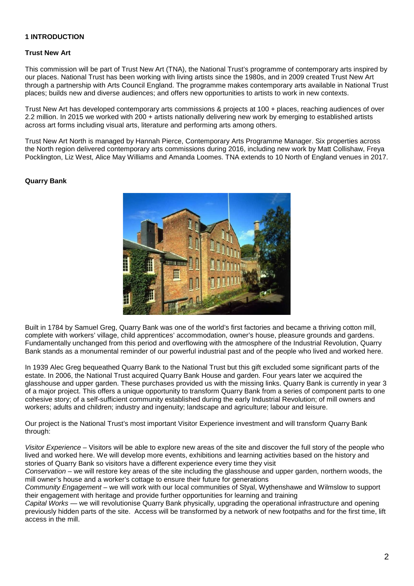# **1 INTRODUCTION**

#### **Trust New Art**

This commission will be part of Trust New Art (TNA), the National Trust's programme of contemporary arts inspired by our places. National Trust has been working with living artists since the 1980s, and in 2009 created Trust New Art through a partnership with Arts Council England. The programme makes contemporary arts available in National Trust places; builds new and diverse audiences; and offers new opportunities to artists to work in new contexts.

Trust New Art has developed contemporary arts commissions & projects at 100 + places, reaching audiences of over 2.2 million. In 2015 we worked with 200 + artists nationally delivering new work by emerging to established artists across art forms including visual arts, literature and performing arts among others.

Trust New Art North is managed by Hannah Pierce, Contemporary Arts Programme Manager. Six properties across the North region delivered contemporary arts commissions during 2016, including new work by Matt Collishaw, Freya Pocklington, Liz West, Alice May Williams and Amanda Loomes. TNA extends to 10 North of England venues in 2017.

#### **Quarry Bank**



Built in 1784 by Samuel Greg, Quarry Bank was one of the world's first factories and became a thriving cotton mill, complete with workers' village, child apprentices' accommodation, owner's house, pleasure grounds and gardens. Fundamentally unchanged from this period and overflowing with the atmosphere of the Industrial Revolution, Quarry Bank stands as a monumental reminder of our powerful industrial past and of the people who lived and worked here.

In 1939 Alec Greg bequeathed Quarry Bank to the National Trust but this gift excluded some significant parts of the estate. In 2006, the National Trust acquired Quarry Bank House and garden. Four years later we acquired the glasshouse and upper garden. These purchases provided us with the missing links. Quarry Bank is currently in year 3 of a major project. This offers a unique opportunity to transform Quarry Bank from a series of component parts to one cohesive story; of a self-sufficient community established during the early Industrial Revolution; of mill owners and workers; adults and children; industry and ingenuity; landscape and agriculture; labour and leisure.

Our project is the National Trust's most important Visitor Experience investment and will transform Quarry Bank through:

*Visitor Experience* – Visitors will be able to explore new areas of the site and discover the full story of the people who lived and worked here. We will develop more events, exhibitions and learning activities based on the history and stories of Quarry Bank so visitors have a different experience every time they visit

*Conservation* – we will restore key areas of the site including the glasshouse and upper garden, northern woods, the mill owner's house and a worker's cottage to ensure their future for generations

*Community Engagement* – we will work with our local communities of Styal, Wythenshawe and Wilmslow to support their engagement with heritage and provide further opportunities for learning and training

*Capital Works* — we will revolutionise Quarry Bank physically, upgrading the operational infrastructure and opening previously hidden parts of the site. Access will be transformed by a network of new footpaths and for the first time, lift access in the mill.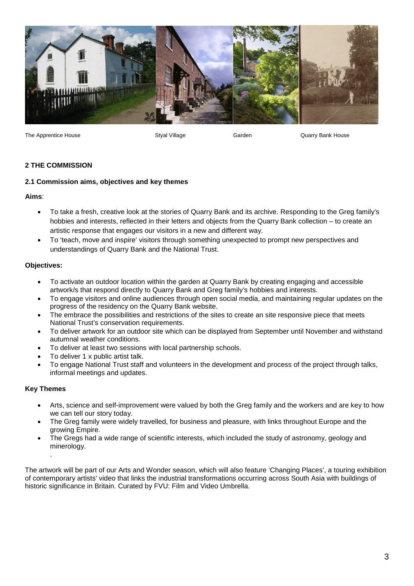

The Apprentice House The Styal Village Garden Garden Garden Guarry Bank House

# **2 THE COMMISSION**

# **2.1 Commission aims, objectives and key themes**

**Aims**:

- To take a fresh, creative look at the stories of Quarry Bank and its archive. Responding to the Greg family's hobbies and interests, reflected in their letters and objects from the Quarry Bank collection – to create an artistic response that engages our visitors in a new and different way.
- To 'teach, move and inspire' visitors through something unexpected to prompt new perspectives and understandings of Quarry Bank and the National Trust.

# **Objectives:**

- To activate an outdoor location within the garden at Quarry Bank by creating engaging and accessible artwork/s that respond directly to Quarry Bank and Greg family's hobbies and interests.
- To engage visitors and online audiences through open social media, and maintaining regular updates on the progress of the residency on the Quarry Bank website.
- The embrace the possibilities and restrictions of the sites to create an site responsive piece that meets National Trust's conservation requirements.
- To deliver artwork for an outdoor site which can be displayed from September until November and withstand autumnal weather conditions.
- To deliver at least two sessions with local partnership schools.
- To deliver 1 x public artist talk.
- To engage National Trust staff and volunteers in the development and process of the project through talks, informal meetings and updates.

# **Key Themes**

.

- Arts, science and self-improvement were valued by both the Greg family and the workers and are key to how we can tell our story today.
- The Greg family were widely travelled, for business and pleasure, with links throughout Europe and the growing Empire.
- The Gregs had a wide range of scientific interests, which included the study of astronomy, geology and minerology.

The artwork will be part of our Arts and Wonder season, which will also feature 'Changing Places', a touring exhibition of contemporary artists' video that links the industrial transformations occurring across South Asia with buildings of historic significance in Britain. Curated by FVU: Film and Video Umbrella.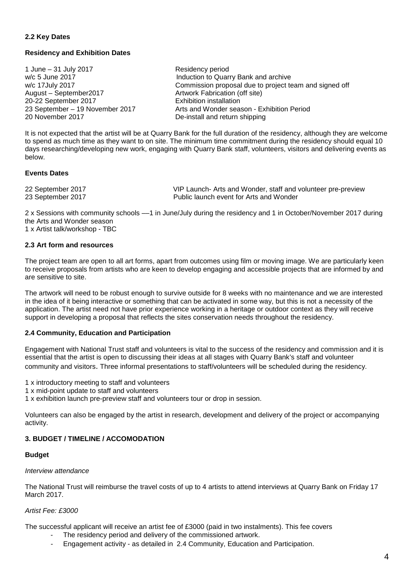## **2.2 Key Dates**

### **Residency and Exhibition Dates**

1 June – 31 July 2017 Residency period w/c 5 June 2017<br>We 17 July 2017 **Induction to Quarry Bank and archive**<br>Commission proposal due to project to w/c 17July 2017<br>
Artwork Fabrication (off site)<br>
Artwork Fabrication (off site) 20-22 September 2017<br>23 September – 19 November 2017 23 September – 19 November 2017 **Arts and Wonder season - Exhibition Period**<br>20 November 2017 **De-install and return shipping** 

Artwork Fabrication (off site)<br>Exhibition installation De-install and return shipping

It is not expected that the artist will be at Quarry Bank for the full duration of the residency, although they are welcome to spend as much time as they want to on site. The minimum time commitment during the residency should equal 10 days researching/developing new work, engaging with Quarry Bank staff, volunteers, visitors and delivering events as below.

### **Events Dates**

22 September 2017 VIP Launch- Arts and Wonder, staff and volunteer pre-preview Public launch event for Arts and Wonder

2 x Sessions with community schools ––1 in June/July during the residency and 1 in October/November 2017 during the Arts and Wonder season

1 x Artist talk/workshop - TBC

#### **2.3 Art form and resources**

The project team are open to all art forms, apart from outcomes using film or moving image. We are particularly keen to receive proposals from artists who are keen to develop engaging and accessible projects that are informed by and are sensitive to site.

The artwork will need to be robust enough to survive outside for 8 weeks with no maintenance and we are interested in the idea of it being interactive or something that can be activated in some way, but this is not a necessity of the application. The artist need not have prior experience working in a heritage or outdoor context as they will receive support in developing a proposal that reflects the sites conservation needs throughout the residency.

### **2.4 Community, Education and Participation**

Engagement with National Trust staff and volunteers is vital to the success of the residency and commission and it is essential that the artist is open to discussing their ideas at all stages with Quarry Bank's staff and volunteer community and visitors. Three informal presentations to staff/volunteers will be scheduled during the residency.

1 x introductory meeting to staff and volunteers

1 x mid-point update to staff and volunteers

1 x exhibition launch pre-preview staff and volunteers tour or drop in session.

Volunteers can also be engaged by the artist in research, development and delivery of the project or accompanying activity.

# **3. BUDGET / TIMELINE / ACCOMODATION**

#### **Budget**

#### *Interview attendance*

The National Trust will reimburse the travel costs of up to 4 artists to attend interviews at Quarry Bank on Friday 17 March 2017.

### *Artist Fee: £3000*

The successful applicant will receive an artist fee of £3000 (paid in two instalments). This fee covers

- The residency period and delivery of the commissioned artwork.
- Engagement activity as detailed in 2.4 Community, Education and Participation.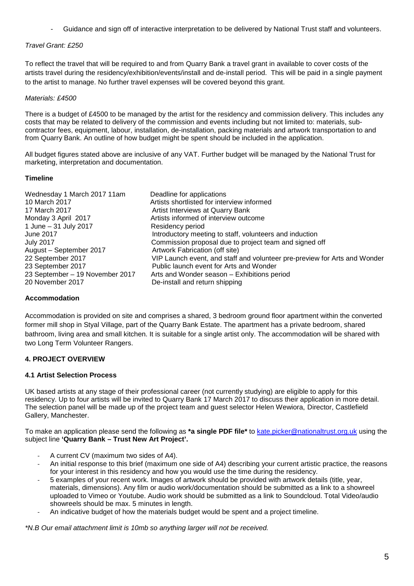- Guidance and sign off of interactive interpretation to be delivered by National Trust staff and volunteers.

# *Travel Grant: £250*

To reflect the travel that will be required to and from Quarry Bank a travel grant in available to cover costs of the artists travel during the residency/exhibition/events/install and de-install period. This will be paid in a single payment to the artist to manage. No further travel expenses will be covered beyond this grant.

# *Materials: £4500*

There is a budget of £4500 to be managed by the artist for the residency and commission delivery. This includes any costs that may be related to delivery of the commission and events including but not limited to: materials, subcontractor fees, equipment, labour, installation, de-installation, packing materials and artwork transportation to and from Quarry Bank. An outline of how budget might be spent should be included in the application.

All budget figures stated above are inclusive of any VAT. Further budget will be managed by the National Trust for marketing, interpretation and documentation.

# **Timeline**

| Deadline for applications<br>Artists shortlisted for interview informed<br>Artist Interviews at Quarry Bank<br>Artists informed of interview outcome<br>Residency period<br>Introductory meeting to staff, volunteers and induction<br>Commission proposal due to project team and signed off<br>Artwork Fabrication (off site)<br>VIP Launch event, and staff and volunteer pre-preview for Arts and Wonder<br>Public launch event for Arts and Wonder |
|---------------------------------------------------------------------------------------------------------------------------------------------------------------------------------------------------------------------------------------------------------------------------------------------------------------------------------------------------------------------------------------------------------------------------------------------------------|
| Arts and Wonder season - Exhibitions period<br>De-install and return shipping                                                                                                                                                                                                                                                                                                                                                                           |
|                                                                                                                                                                                                                                                                                                                                                                                                                                                         |

# **Accommodation**

Accommodation is provided on site and comprises a shared, 3 bedroom ground floor apartment within the converted former mill shop in Styal Village, part of the Quarry Bank Estate. The apartment has a private bedroom, shared bathroom, living area and small kitchen. It is suitable for a single artist only. The accommodation will be shared with two Long Term Volunteer Rangers.

# **4. PROJECT OVERVIEW**

### **4.1 Artist Selection Process**

UK based artists at any stage of their professional career (not currently studying) are eligible to apply for this residency. Up to four artists will be invited to Quarry Bank 17 March 2017 to discuss their application in more detail. The selection panel will be made up of the project team and guest selector Helen Wewiora, Director, Castlefield Gallery, Manchester.

To make an application please send the following as **\*a single PDF file\*** to [kate.picker@nationaltrust.org.uk](mailto:kate.picker@nationaltrust.org.uk) using the subject line **'Quarry Bank – Trust New Art Project'.**

- A current CV (maximum two sides of A4).
- An initial response to this brief (maximum one side of A4) describing your current artistic practice, the reasons for your interest in this residency and how you would use the time during the residency.
- 5 examples of your recent work. Images of artwork should be provided with artwork details (title, year, materials, dimensions). Any film or audio work/documentation should be submitted as a link to a showreel uploaded to Vimeo or Youtube. Audio work should be submitted as a link to Soundcloud. Total Video/audio showreels should be max. 5 minutes in length.
- An indicative budget of how the materials budget would be spent and a project timeline.

*\*N.B Our email attachment limit is 10mb so anything larger will not be received.*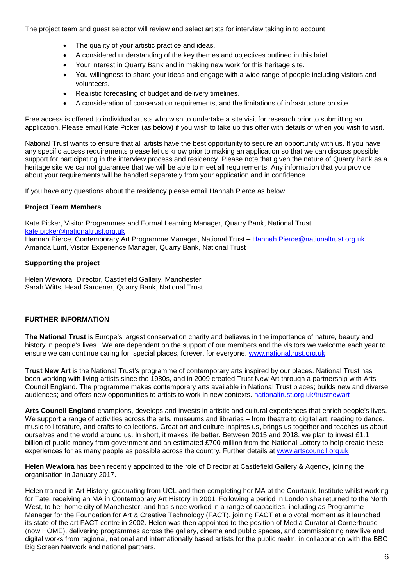The project team and guest selector will review and select artists for interview taking in to account

- The quality of your artistic practice and ideas.
- A considered understanding of the key themes and objectives outlined in this brief.
- Your interest in Quarry Bank and in making new work for this heritage site.
- You willingness to share your ideas and engage with a wide range of people including visitors and volunteers.
- Realistic forecasting of budget and delivery timelines.
- A consideration of conservation requirements, and the limitations of infrastructure on site.

Free access is offered to individual artists who wish to undertake a site visit for research prior to submitting an application. Please email Kate Picker (as below) if you wish to take up this offer with details of when you wish to visit.

National Trust wants to ensure that all artists have the best opportunity to secure an opportunity with us. If you have any specific access requirements please let us know prior to making an application so that we can discuss possible support for participating in the interview process and residency. Please note that given the nature of Quarry Bank as a heritage site we cannot guarantee that we will be able to meet all requirements. Any information that you provide about your requirements will be handled separately from your application and in confidence.

If you have any questions about the residency please email Hannah Pierce as below.

# **Project Team Members**

Kate Picker, Visitor Programmes and Formal Learning Manager, Quarry Bank, National Trust [kate.picker@nationaltrust.org.uk](mailto:kate.picker@nationaltrust.org.uk) Hannah Pierce, Contemporary Art Programme Manager, National Trust - [Hannah.Pierce@nationaltrust.org.uk](mailto:Hannah.Pierce@nationaltrust.org.uk) Amanda Lunt, Visitor Experience Manager, Quarry Bank, National Trust

# **Supporting the project**

Helen Wewiora, Director, Castlefield Gallery, Manchester Sarah Witts, Head Gardener, Quarry Bank, National Trust

### **FURTHER INFORMATION**

**The National Trust** is Europe's largest conservation charity and believes in the importance of nature, beauty and history in people's lives. We are dependent on the support of our members and the visitors we welcome each year to ensure we can continue caring for special places, forever, for everyone. [www.nationaltrust.org.uk](http://www.nationaltrust.org.uk/)

**Trust New Art** is the National Trust's programme of contemporary arts inspired by our places. National Trust has been working with living artists since the 1980s, and in 2009 created Trust New Art through a partnership with Arts Council England. The programme makes contemporary arts available in National Trust places; builds new and diverse audiences; and offers new opportunities to artists to work in new contexts. [nationaltrust.org.uk/trustnewart](https://www.nationaltrust.org.uk/features/trust-new-art-contemporary-arts-inspired-by-our-places)

**Arts Council England** champions, develops and invests in artistic and cultural experiences that enrich people's lives. We support a range of activities across the arts, museums and libraries – from theatre to digital art, reading to dance, music to literature, and crafts to collections. Great art and culture inspires us, brings us together and teaches us about ourselves and the world around us. In short, it makes life better. Between 2015 and 2018, we plan to invest £1.1 billion of public money from government and an estimated £700 million from the National Lottery to help create these experiences for as many people as possible across the country. Further details at [www.artscouncil.org.uk](http://www.artscouncil.org.uk/)

**Helen Wewiora** has been recently appointed to the role of Director at Castlefield Gallery & Agency, joining the organisation in January 2017.

Helen trained in Art History, graduating from UCL and then completing her MA at the Courtauld Institute whilst working for Tate, receiving an MA in Contemporary Art History in 2001. Following a period in London she returned to the North West, to her home city of Manchester, and has since worked in a range of capacities, including as Programme Manager for the Foundation for Art & Creative Technology (FACT), joining FACT at a pivotal moment as it launched its state of the art FACT centre in 2002. Helen was then appointed to the position of Media Curator at Cornerhouse (now HOME), delivering programmes across the gallery, cinema and public spaces, and commissioning new live and digital works from regional, national and internationally based artists for the public realm, in collaboration with the BBC Big Screen Network and national partners.